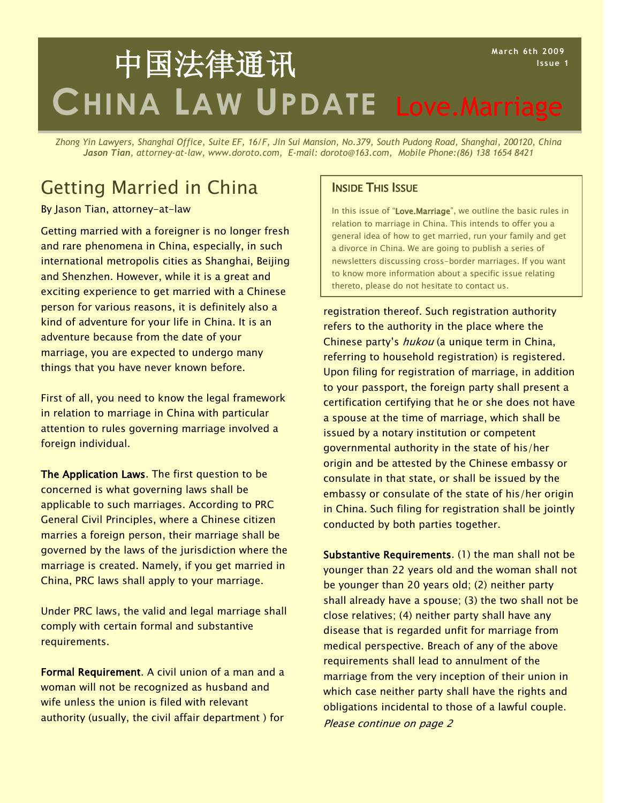## **CHINA LAW UPDATE** Love.Marriage **March 6th 2009 Issue 1** 中国法律通讯

*Zhong Yin Lawyers, Shanghai Office, Suite EF, 16/F, Jin Sui Mansion, No.379, South Pudong Road, Shanghai, 200120, China Jason Tian, attorney-at-law, www.doroto.com, E-mail: doroto@163.com, Mobile Phone:(86) 138 1654 8421*

# Getting Married in China **Inside This Issue**

### By Jason Tian, attorney-at-law

Getting married with a foreigner is no longer fresh and rare phenomena in China, especially, in such international metropolis cities as Shanghai, Beijing and Shenzhen. However, while it is a great and exciting experience to get married with a Chinese person for various reasons, it is definitely also a kind of adventure for your life in China. It is an adventure because from the date of your marriage, you are expected to undergo many things that you have never known before.

First of all, you need to know the legal framework in relation to marriage in China with particular attention to rules governing marriage involved a foreign individual.

The Application Laws. The first question to be concerned is what governing laws shall be applicable to such marriages. According to PRC General Civil Principles, where a Chinese citizen marries a foreign person, their marriage shall be governed by the laws of the jurisdiction where the marriage is created. Namely, if you get married in China, PRC laws shall apply to your marriage.

Under PRC laws, the valid and legal marriage shall comply with certain formal and substantive requirements.

Formal Requirement. A civil union of a man and a woman will not be recognized as husband and wife unless the union is filed with relevant authority (usually, the civil affair department ) for

In this issue of "Love.Marriage", we outline the basic rules in relation to marriage in China. This intends to offer you a general idea of how to get married, run your family and get a divorce in China. We are going to publish a series of newsletters discussing cross-border marriages. If you want to know more information about a specific issue relating thereto, please do not hesitate to contact us.

registration thereof. Such registration authority refers to the authority in the place where the Chinese party's hukou (a unique term in China, referring to household registration) is registered. Upon filing for registration of marriage, in addition to your passport, the foreign party shall present a certification certifying that he or she does not have a spouse at the time of marriage, which shall be issued by a notary institution or competent governmental authority in the state of his/her origin and be attested by the Chinese embassy or consulate in that state, or shall be issued by the embassy or consulate of the state of his/her origin in China. Such filing for registration shall be jointly conducted by both parties together.

Substantive Requirements. (1) the man shall not be younger than 22 years old and the woman shall not be younger than 20 years old; (2) neither party shall already have a spouse; (3) the two shall not be close relatives; (4) neither party shall have any disease that is regarded unfit for marriage from medical perspective. Breach of any of the above requirements shall lead to annulment of the marriage from the very inception of their union in which case neither party shall have the rights and obligations incidental to those of a lawful couple. Please continue on page 2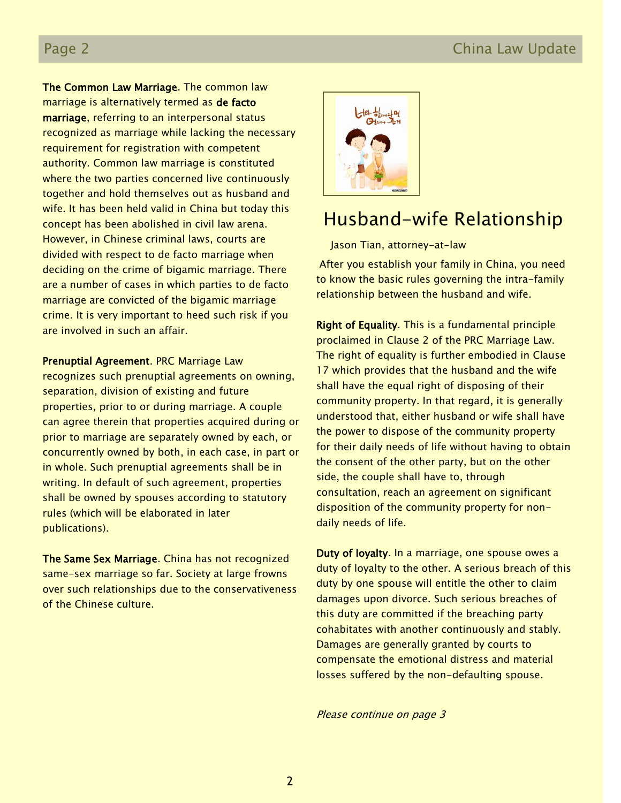## Page 2 China Law Update

The Common Law Marriage. The common law marriage is alternatively termed as de facto marriage, referring to an interpersonal status recognized as marriage while lacking the necessary requirement for registration with competent authority. Common law marriage is constituted where the two parties concerned live continuously together and hold themselves out as husband and wife. It has been held valid in China but today this concept has been abolished in civil law arena. However, in Chinese criminal laws, courts are divided with respect to de facto marriage when deciding on the crime of bigamic marriage. There are a number of cases in which parties to de facto marriage are convicted of the bigamic marriage crime. It is very important to heed such risk if you are involved in such an affair.

Prenuptial Agreement. PRC Marriage Law recognizes such prenuptial agreements on owning, separation, division of existing and future properties, prior to or during marriage. A couple can agree therein that properties acquired during or prior to marriage are separately owned by each, or concurrently owned by both, in each case, in part or in whole. Such prenuptial agreements shall be in writing. In default of such agreement, properties shall be owned by spouses according to statutory rules (which will be elaborated in later publications).

The Same Sex Marriage. China has not recognized same-sex marriage so far. Society at large frowns over such relationships due to the conservativeness of the Chinese culture.



# Husband-wife Relationship

Jason Tian, attorney-at-law

After you establish your family in China, you need to know the basic rules governing the intra-family relationship between the husband and wife.

Right of Equality. This is a fundamental principle proclaimed in Clause 2 of the PRC Marriage Law. The right of equality is further embodied in Clause 17 which provides that the husband and the wife shall have the equal right of disposing of their community property. In that regard, it is generally understood that, either husband or wife shall have the power to dispose of the community property for their daily needs of life without having to obtain the consent of the other party, but on the other side, the couple shall have to, through consultation, reach an agreement on significant disposition of the community property for nondaily needs of life.

Duty of loyalty. In a marriage, one spouse owes a duty of loyalty to the other. A serious breach of this duty by one spouse will entitle the other to claim damages upon divorce. Such serious breaches of this duty are committed if the breaching party cohabitates with another continuously and stably. Damages are generally granted by courts to compensate the emotional distress and material losses suffered by the non-defaulting spouse.

Please continue on page 3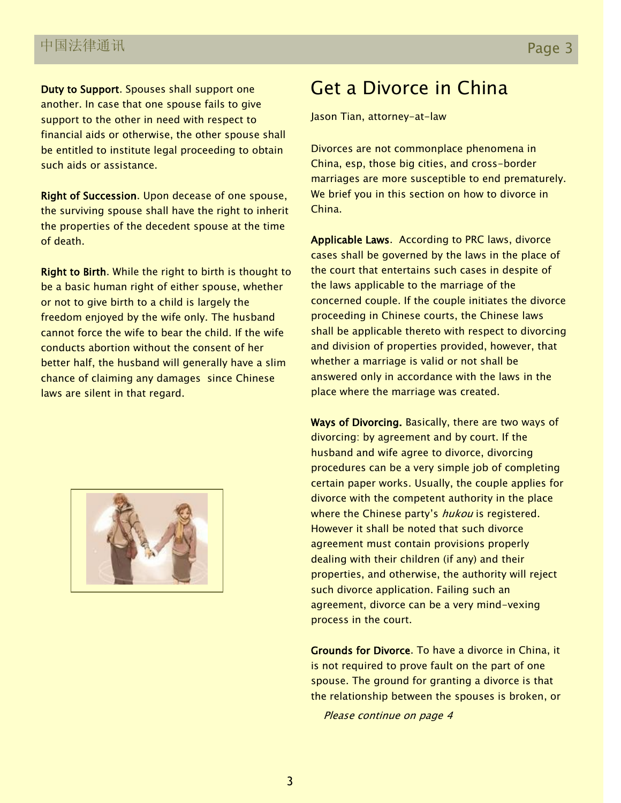Duty to Support. Spouses shall support one another. In case that one spouse fails to give support to the other in need with respect to financial aids or otherwise, the other spouse shall be entitled to institute legal proceeding to obtain such aids or assistance.

Right of Succession. Upon decease of one spouse, the surviving spouse shall have the right to inherit the properties of the decedent spouse at the time of death.

Right to Birth. While the right to birth is thought to be a basic human right of either spouse, whether or not to give birth to a child is largely the freedom enjoyed by the wife only. The husband cannot force the wife to bear the child. If the wife conducts abortion without the consent of her better half, the husband will generally have a slim chance of claiming any damages since Chinese laws are silent in that regard.



# Get a Divorce in China

Jason Tian, attorney-at-law

Divorces are not commonplace phenomena in China, esp, those big cities, and cross-border marriages are more susceptible to end prematurely. We brief you in this section on how to divorce in China.

Applicable Laws. According to PRC laws, divorce cases shall be governed by the laws in the place of the court that entertains such cases in despite of the laws applicable to the marriage of the concerned couple. If the couple initiates the divorce proceeding in Chinese courts, the Chinese laws shall be applicable thereto with respect to divorcing and division of properties provided, however, that whether a marriage is valid or not shall be answered only in accordance with the laws in the place where the marriage was created.

Ways of Divorcing. Basically, there are two ways of divorcing: by agreement and by court. If the husband and wife agree to divorce, divorcing procedures can be a very simple job of completing certain paper works. Usually, the couple applies for divorce with the competent authority in the place where the Chinese party's hukou is registered. However it shall be noted that such divorce agreement must contain provisions properly dealing with their children (if any) and their properties, and otherwise, the authority will reject such divorce application. Failing such an agreement, divorce can be a very mind-vexing process in the court.

Grounds for Divorce. To have a divorce in China, it is not required to prove fault on the part of one spouse. The ground for granting a divorce is that the relationship between the spouses is broken, or

Please continue on page 4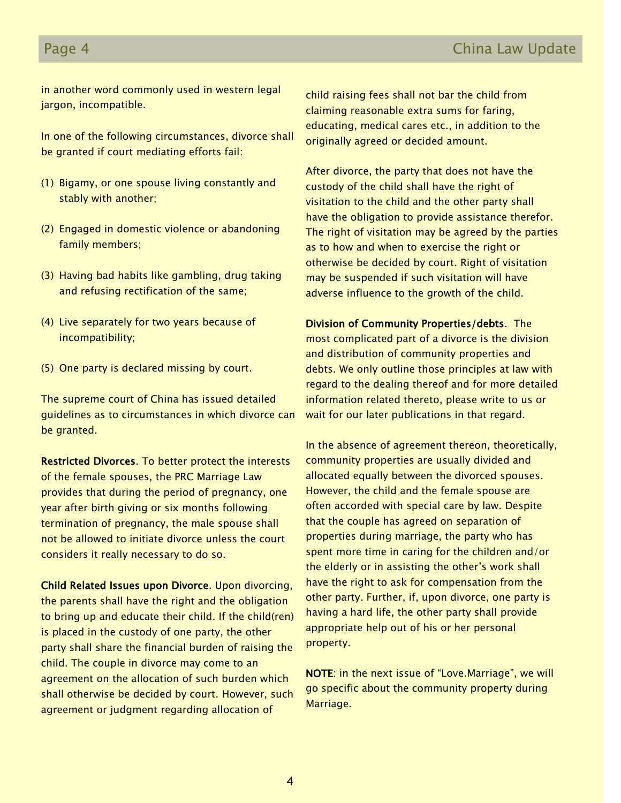## Page 4 China Law Update

in another word commonly used in western legal jargon, incompatible.

In one of the following circumstances, divorce shall be granted if court mediating efforts fail:

- (1) Bigamy, or one spouse living constantly and stably with another;
- (2) Engaged in domestic violence or abandoning family members;
- (3) Having bad habits like gambling, drug taking and refusing rectification of the same;
- (4) Live separately for two years because of incompatibility;
- (5) One party is declared missing by court.

The supreme court of China has issued detailed guidelines as to circumstances in which divorce can be granted.

Restricted Divorces. To better protect the interests of the female spouses, the PRC Marriage Law provides that during the period of pregnancy, one year after birth giving or six months following termination of pregnancy, the male spouse shall not be allowed to initiate divorce unless the court considers it really necessary to do so.

Child Related Issues upon Divorce. Upon divorcing, the parents shall have the right and the obligation to bring up and educate their child. If the child(ren) is placed in the custody of one party, the other party shall share the financial burden of raising the child. The couple in divorce may come to an agreement on the allocation of such burden which shall otherwise be decided by court. However, such agreement or judgment regarding allocation of

child raising fees shall not bar the child from claiming reasonable extra sums for faring, educating, medical cares etc., in addition to the originally agreed or decided amount.

After divorce, the party that does not have the custody of the child shall have the right of visitation to the child and the other party shall have the obligation to provide assistance therefor. The right of visitation may be agreed by the parties as to how and when to exercise the right or otherwise be decided by court. Right of visitation may be suspended if such visitation will have adverse influence to the growth of the child.

Division of Community Properties/debts. The most complicated part of a divorce is the division and distribution of community properties and debts. We only outline those principles at law with regard to the dealing thereof and for more detailed information related thereto, please write to us or wait for our later publications in that regard.

In the absence of agreement thereon, theoretically, community properties are usually divided and allocated equally between the divorced spouses. However, the child and the female spouse are often accorded with special care by law. Despite that the couple has agreed on separation of properties during marriage, the party who has spent more time in caring for the children and/or the elderly or in assisting the other's work shall have the right to ask for compensation from the other party. Further, if, upon divorce, one party is having a hard life, the other party shall provide appropriate help out of his or her personal property.

NOTE: in the next issue of "Love.Marriage", we will go specific about the community property during Marriage.